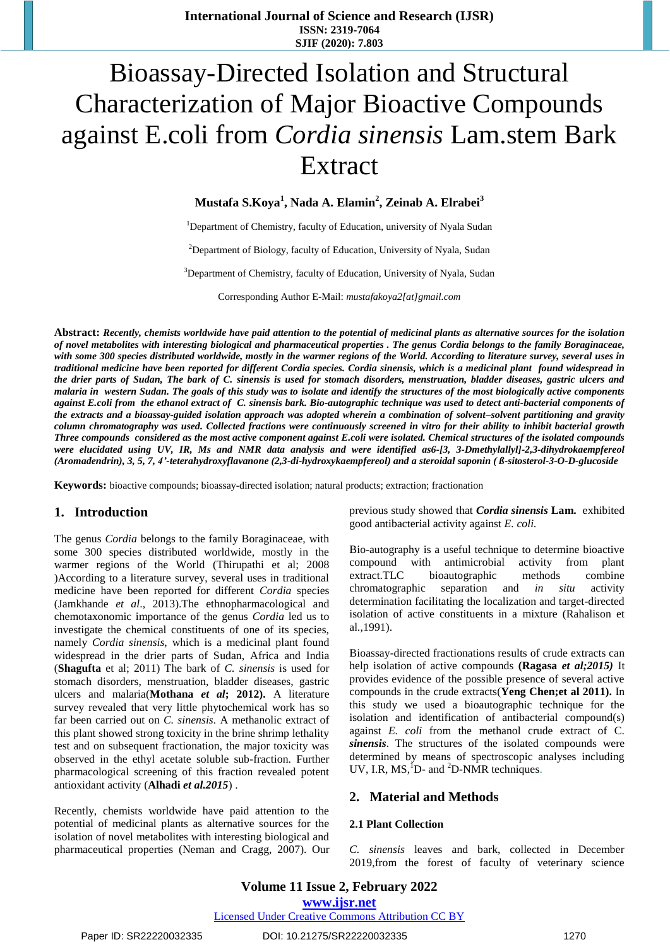# Bioassay-Directed Isolation and Structural Characterization of Major Bioactive Compounds against E.coli from *Cordia sinensis* Lam.stem Bark Extract

**Mustafa S.Koya<sup>1</sup> , Nada A. Elamin<sup>2</sup> , Zeinab A. Elrabei<sup>3</sup>**

<sup>1</sup>Department of Chemistry, faculty of Education, university of Nyala Sudan

<sup>2</sup>Department of Biology, faculty of Education, University of Nyala, Sudan

<sup>3</sup>Department of Chemistry, faculty of Education, University of Nyala, Sudan

Corresponding Author E-Mail: *[mustafakoya2\[at\]gmail.com](mailto:mustafakoya2@gmail.com)*

**Abstract:** *Recently, chemists worldwide have paid attention to the potential of medicinal plants as alternative sources for the isolation of novel metabolites with interesting biological and pharmaceutical properties . The genus Cordia belongs to the family Boraginaceae, with some 300 species distributed worldwide, mostly in the warmer regions of the World. According to literature survey, several uses in traditional medicine have been reported for different Cordia species. Cordia sinensis, which is a medicinal plant found widespread in the drier parts of Sudan, The bark of C. sinensis is used for stomach disorders, menstruation, bladder diseases, gastric ulcers and malaria in western Sudan. The goals of this study was to isolate and identify the structures of the most biologically active components against E.coli from the ethanol extract of C. sinensis bark. Bio-autographic technique was used to detect anti-bacterial components of the extracts and a bioassay-guided isolation approach was adopted wherein a combination of solvent–solvent partitioning and gravity column chromatography was used. Collected fractions were continuously screened in vitro for their ability to inhibit bacterial growth Three compounds considered as the most active component against E.coli were isolated. Chemical structures of the isolated compounds were elucidated using UV, IR, Ms and NMR data analysis and were identified as6-[3, 3-Dmethylallyl]-2,3-dihydrokaempfereol (Aromadendrin), 3, 5, 7, 4'-teterahydroxyflavanone (2,3-di-hydroxykaempfereol) and a steroidal saponin ( ß-sitosterol-3-O-D-glucoside*

**Keywords:** bioactive compounds; bioassay-directed isolation; natural products; extraction; fractionation

## **1. Introduction**

The genus *Cordia* belongs to the family Boraginaceae, with some 300 species distributed worldwide, mostly in the warmer regions of the World (Thirupathi et al; 2008 )According to a literature survey, several uses in traditional medicine have been reported for different *Cordia* species (Jamkhande *et al*., 2013).The ethnopharmacological and chemotaxonomic importance of the genus *Cordia* led us to investigate the chemical constituents of one of its species, namely *Cordia sinensis*, which is a medicinal plant found widespread in the drier parts of Sudan, Africa and India (**Shagufta** et al; 2011) The bark of *C. sinensis* is used for stomach disorders, menstruation, bladder diseases, gastric ulcers and malaria(**Mothana** *et al***; 2012).** A literature survey revealed that very little phytochemical work has so far been carried out on *C. sinensis*. A methanolic extract of this plant showed strong toxicity in the brine shrimp lethality test and on subsequent fractionation, the major toxicity was observed in the ethyl acetate soluble sub-fraction. Further pharmacological screening of this fraction revealed potent antioxidant activity (**Alhadi** *et al.2015*) .

Recently, chemists worldwide have paid attention to the potential of medicinal plants as alternative sources for the isolation of novel metabolites with interesting biological and pharmaceutical properties (Neman and Cragg, 2007). Our previous study showed that *Cordia sinensis* **Lam.** exhibited good antibacterial activity against *E. coli.*

Bio-autography is a useful technique to determine bioactive compound with antimicrobial activity from plant extract.TLC bioautographic methods combine chromatographic separation and *in situ* activity determination facilitating the localization and target-directed isolation of active constituents in a mixture (Rahalison et al*.,*1991).

Bioassay-directed fractionations results of crude extracts can help isolation of active compounds **(Ragasa** *et al;2015)* It provides evidence of the possible presence of several active compounds in the crude extracts(**Yeng Chen;et al 2011).** In this study we used a bioautographic technique for the isolation and identification of antibacterial compound(s) against *E. coli* from the methanol crude extract of C. *sinensis*. The structures of the isolated compounds were determined by means of spectroscopic analyses including UV, I.R,  $MS<sub>1</sub><sup>1</sup>D- and <sub>2</sub>D-NMR techniques.$ 

## **2. Material and Methods**

#### **2.1 Plant Collection**

*C. sinensis* leaves and bark, collected in December 2019,from the forest of faculty of veterinary science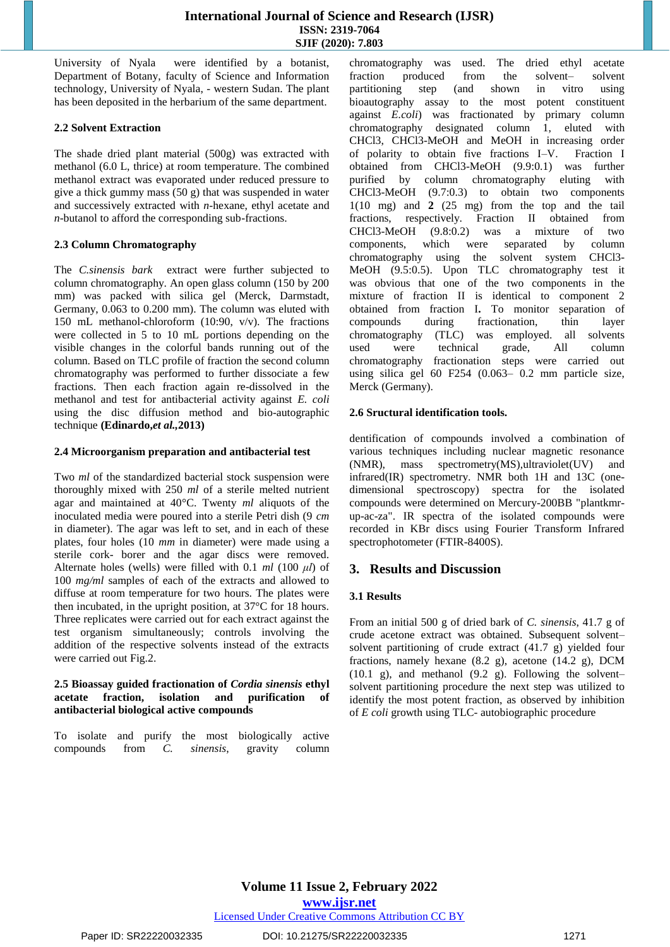University of Nyala were identified by a botanist, Department of Botany, faculty of Science and Information technology, University of Nyala, - western Sudan. The plant has been deposited in the herbarium of the same department.

#### **2.2 Solvent Extraction**

The shade dried plant material (500g) was extracted with methanol (6.0 L, thrice) at room temperature. The combined methanol extract was evaporated under reduced pressure to give a thick gummy mass (50 g) that was suspended in water and successively extracted with *n*-hexane, ethyl acetate and *n*-butanol to afford the corresponding sub-fractions.

#### **2.3 Column Chromatography**

The *C.sinensis bark* extract were further subjected to column chromatography. An open glass column (150 by 200 mm) was packed with silica gel (Merck, Darmstadt, Germany, 0.063 to 0.200 mm). The column was eluted with 150 mL methanol-chloroform (10:90, v/v). The fractions were collected in 5 to 10 mL portions depending on the visible changes in the colorful bands running out of the column. Based on TLC profile of fraction the second column chromatography was performed to further dissociate a few fractions. Then each fraction again re-dissolved in the methanol and test for antibacterial activity against *E. coli*  using the disc diffusion method and bio-autographic technique **(Edinardo,***et al.,***2013)**

#### **2.4 Microorganism preparation and antibacterial test**

Two *ml* of the standardized bacterial stock suspension were thoroughly mixed with 250 *ml* of a sterile melted nutrient agar and maintained at 40°C. Twenty *ml* aliquots of the inoculated media were poured into a sterile Petri dish (9 *cm*  in diameter). The agar was left to set, and in each of these plates, four holes (10 *mm* in diameter) were made using a sterile cork- borer and the agar discs were removed. Alternate holes (wells) were filled with 0.1 *ml* (100 *μl*) of 100 *mg/ml* samples of each of the extracts and allowed to diffuse at room temperature for two hours. The plates were then incubated, in the upright position, at 37°C for 18 hours. Three replicates were carried out for each extract against the test organism simultaneously; controls involving the addition of the respective solvents instead of the extracts were carried out Fig.2.

#### **2.5 Bioassay guided fractionation of** *Cordia sinensis* **ethyl acetate fraction, isolation and purification of antibacterial biological active compounds**

To isolate and purify the most biologically active compounds from *C. sinensis*, gravity column chromatography was used. The dried ethyl acetate fraction produced from the solvent– solvent<br>partitioning step (and shown in vitro using partitioning step (and shown in vitro using bioautography assay to the most potent constituent against *E.coli*) was fractionated by primary column chromatography designated column 1, eluted with CHCl3, CHCl3-MeOH and MeOH in increasing order of polarity to obtain five fractions I–V. Fraction I obtained from CHCl3-MeOH (9.9:0.1) was further purified by column chromatography eluting with CHCl3-MeOH (9.7:0.3) to obtain two components 1(10 mg) and **2** (25 mg) from the top and the tail fractions, respectively. Fraction II obtained from CHCl3-MeOH (9.8:0.2) was a mixture of two components, which were separated by column chromatography using the solvent system CHCl3- MeOH (9.5:0.5). Upon TLC chromatography test it was obvious that one of the two components in the mixture of fraction II is identical to component 2 obtained from fraction I**.** To monitor separation of compounds during fractionation, thin layer chromatography (TLC) was employed. all solvents used were technical grade, All column chromatography fractionation steps were carried out using silica gel 60 F254 (0.063– 0.2 mm particle size, Merck (Germany).

#### **2.6 Sructural identification tools.**

dentification of compounds involved a combination of various techniques including nuclear magnetic resonance (NMR), mass spectrometry(MS),ultraviolet(UV) and infrared(IR) spectrometry. NMR both 1H and 13C (onedimensional spectroscopy) spectra for the isolated compounds were determined on Mercury-200BB "plantkmrup-ac-za". IR spectra of the isolated compounds were recorded in KBr discs using Fourier Transform Infrared spectrophotometer (FTIR-8400S).

## **3. Results and Discussion**

## **3.1 Results**

From an initial 500 g of dried bark of *C. sinensis*, 41.7 g of crude acetone extract was obtained. Subsequent solvent– solvent partitioning of crude extract (41.7 g) yielded four fractions, namely hexane (8.2 g), acetone (14.2 g), DCM (10.1 g), and methanol (9.2 g). Following the solvent– solvent partitioning procedure the next step was utilized to identify the most potent fraction, as observed by inhibition of *E coli* growth using TLC- autobiographic procedure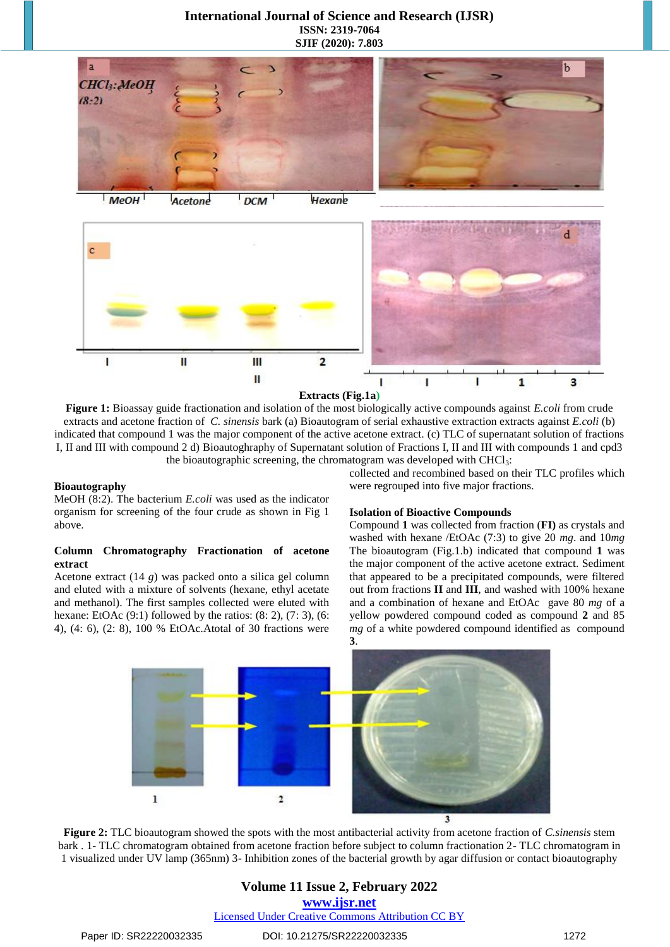



**Extracts (Fig.1a)**

**Figure 1:** Bioassay guide fractionation and isolation of the most biologically active compounds against *E.coli* from crude extracts and acetone fraction of *C. sinensis* bark (a) Bioautogram of serial exhaustive extraction extracts against *E.coli* (b) indicated that compound 1 was the major component of the active acetone extract. (c) TLC of supernatant solution of fractions I, II and III with compound 2 d) Bioautoghraphy of Supernatant solution of Fractions I, II and III with compounds 1 and cpd3 the bioautographic screening, the chromatogram was developed with  $CHCl<sub>3</sub>$ :

#### **Bioautography**

MeOH (8:2). The bacterium *E.coli* was used as the indicator organism for screening of the four crude as shown in Fig 1 above.

#### **Column Chromatography Fractionation of acetone extract**

Acetone extract (14 *g*) was packed onto a silica gel column and eluted with a mixture of solvents (hexane, ethyl acetate and methanol). The first samples collected were eluted with hexane: EtOAc  $(9:1)$  followed by the ratios:  $(8:2)$ ,  $(7:3)$ ,  $(6:$ 4), (4: 6), (2: 8), 100 % EtOAc.Atotal of 30 fractions were collected and recombined based on their TLC profiles which were regrouped into five major fractions.

#### **Isolation of Bioactive Compounds**

Compound **1** was collected from fraction (**FI)** as crystals and washed with hexane /EtOAc (7:3) to give 20 *mg*. and 10*mg* The bioautogram (Fig.1.b) indicated that compound **1** was the major component of the active acetone extract. Sediment that appeared to be a precipitated compounds, were filtered out from fractions **II** and **III**, and washed with 100% hexane and a combination of hexane and EtOAc gave 80 *mg* of a yellow powdered compound coded as compound **2** and 85 *mg* of a white powdered compound identified as compound **3**.



**Figure 2:** TLC bioautogram showed the spots with the most antibacterial activity from acetone fraction of *C.sinensis* stem bark . 1- TLC chromatogram obtained from acetone fraction before subject to column fractionation 2- TLC chromatogram in 1 visualized under UV lamp (365nm) 3- Inhibition zones of the bacterial growth by agar diffusion or contact bioautography

## **Volume 11 Issue 2, February 2022 www.ijsr.net** Licensed Under Creative Commons Attribution CC BY

#### Paper ID: SR22220032335 DOI: 10.21275/SR22220032335 1272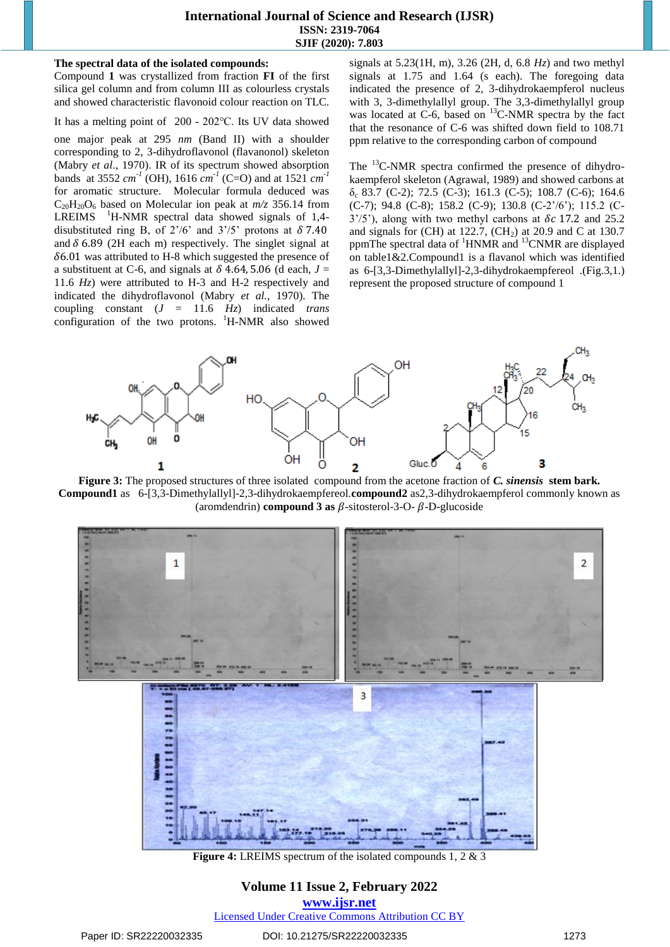#### **The spectral data of the isolated compounds:**

Compound **1** was crystallized from fraction **FI** of the first silica gel column and from column III as colourless crystals and showed characteristic flavonoid colour reaction on TLC.

It has a melting point of 200 - 202℃. Its UV data showed

one major peak at 295 *nm* (Band II) with a shoulder corresponding to 2, 3-dihydroflavonol (flavanonol) skeleton (Mabry *et al*., 1970). IR of its spectrum showed absorption bands at 3552  $cm^{-1}$  (OH), 1616  $cm^{-1}$  (C=O) and at 1521  $cm^{-1}$ for aromatic structure. Molecular formula deduced was  $C_{20}H_{20}O_6$  based on Molecular ion peak at  $m/z$  356.14 from LREIMS <sup>1</sup>H-NMR spectral data showed signals of 1,4disubstituted ring B, of  $2^{\prime}/6$  and  $3^{\prime}/5$  protons at  $\delta$  7.40 and  $\delta$  6.89 (2H each m) respectively. The singlet signal at  $\delta$ 6.01 was attributed to H-8 which suggested the presence of a substituent at C-6, and signals at  $\delta$  4.64, 5.06 (d each,  $J =$ 11.6 *Hz*) were attributed to H-3 and H-2 respectively and indicated the dihydroflavonol (Mabry *et al.*, 1970). The coupling constant (*J* = 11.6 *Hz*) indicated *trans* configuration of the two protons. <sup>1</sup>H-NMR also showed signals at 5.23(1H, m), 3.26 (2H, d, 6.8 *Hz*) and two methyl signals at 1.75 and 1.64 (s each). The foregoing data indicated the presence of 2, 3-dihydrokaempferol nucleus with 3, 3-dimethylallyl group. The 3,3-dimethylallyl group was located at C-6, based on <sup>13</sup>C-NMR spectra by the fact that the resonance of C-6 was shifted down field to 108.71 ppm relative to the corresponding carbon of compound

The <sup>13</sup>C-NMR spectra confirmed the presence of dihydrokaempferol skeleton (Agrawal, 1989) and showed carbons at  $\delta_c$  83.7 (C-2); 72.5 (C-3); 161.3 (C-5); 108.7 (C-6); 164.6 (C-7); 94.8 (C-8); 158.2 (C-9); 130.8 (C-2'/6'); 115.2 (C- $3'$ /5'), along with two methyl carbons at  $\delta c$  17.2 and 25.2 and signals for (CH) at 122.7, (CH<sub>2</sub>) at 20.9 and C at 130.7 ppmThe spectral data of <sup>1</sup>HNMR and <sup>13</sup>CNMR are displayed on table1&2.Compound1 is a flavanol which was identified as 6-[3,3-Dimethylallyl]-2,3-dihydrokaempfereol .(Fig.3,1.) represent the proposed structure of compound 1



**Figure 3:** The proposed structures of three isolated compound from the acetone fraction of *C. sinensis* **stem bark. Compound1** as 6-[3,3-Dimethylallyl]-2,3-dihydrokaempfereol.**compound2** as2,3-dihydrokaempferol commonly known as (aromdendrin) **compound 3 as**  $\beta$ -sitosterol-3-O- $\beta$ -D-glucoside



**Figure 4:** LREIMS spectrum of the isolated compounds 1, 2 & 3

## **Volume 11 Issue 2, February 2022 www.ijsr.net** Licensed Under Creative Commons Attribution CC BY

## Paper ID: SR22220032335 DOI: 10.21275/SR22220032335 1273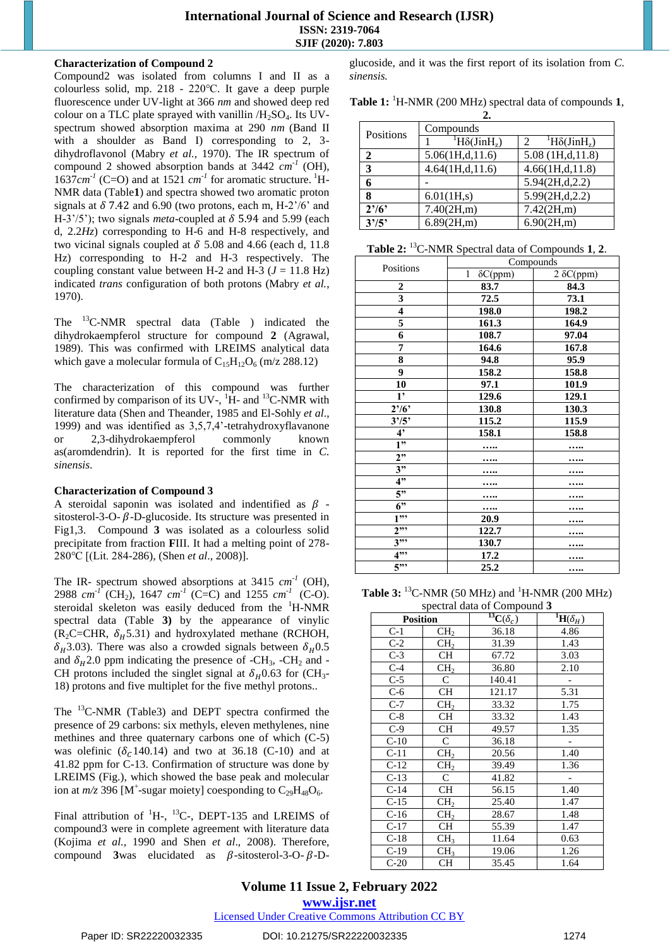## **Characterization of Compound 2**

Compound2 was isolated from columns I and II as a colourless solid, mp. 218 - 220℃. It gave a deep purple fluorescence under UV-light at 366 *nm* and showed deep red colour on a TLC plate sprayed with vanillin  $/H<sub>2</sub>SO<sub>4</sub>$ . Its UVspectrum showed absorption maxima at 290 *nm* (Band II with a shoulder as Band I) corresponding to 2, 3 dihydroflavonol (Mabry *et al.,* 1970). The IR spectrum of compound 2 showed absorption bands at  $3442 \text{ cm}^{-1}$  (OH),  $1637cm<sup>-1</sup>$  (C=O) and at  $1521$   $cm<sup>-1</sup>$  for aromatic structure. <sup>1</sup>H-NMR data (Table**1**) and spectra showed two aromatic proton signals at  $\delta$  7.42 and 6.90 (two protons, each m, H-2'/6' and H-3'/5'); two signals *meta*-coupled at  $\delta$  5.94 and 5.99 (each d, 2.2*Hz*) corresponding to H-6 and H-8 respectively, and two vicinal signals coupled at  $\delta$  5.08 and 4.66 (each d, 11.8) Hz) corresponding to H-2 and H-3 respectively. The coupling constant value between H-2 and H-3  $(J = 11.8 \text{ Hz})$ indicated *trans* configuration of both protons (Mabry *et al.*, 1970).

The <sup>13</sup>C-NMR spectral data (Table ) indicated the dihydrokaempferol structure for compound **2** (Agrawal, 1989). This was confirmed with LREIMS analytical data which gave a molecular formula of  $C_{15}H_{12}O_6$  (m/z 288.12)

The characterization of this compound was further confirmed by comparison of its UV-,  ${}^{1}\hat{H}$ - and  ${}^{13}$ C-NMR with literature data (Shen and Theander, 1985 and El-Sohly *et al*., 1999) and was identified as 3,5,7,4'-tetrahydroxyflavanone or 2,3-dihydrokaempferol commonly known as(aromdendrin). It is reported for the first time in *C. sinensis*.

#### **Characterization of Compound 3**

A steroidal saponin was isolated and indentified as  $\beta$  sitosterol-3-O-  $\beta$ -D-glucoside. Its structure was presented in Fig1,3. Compound **3** was isolated as a colourless solid precipitate from fraction **F**III. It had a melting point of 278- 280℃ [(Lit. 284-286), (Shen *et al*., 2008)].

The IR- spectrum showed absorptions at 3415  $cm^{-1}$  (OH), 2988  $cm^{2}$ <sup>T</sup> (CH<sub>2</sub>), 1647  $cm^{2}$  (C=C) and 1255  $cm^{2}$  (C-O). steroidal skeleton was easily deduced from the <sup>1</sup>H-NMR spectral data (Table **3)** by the appearance of vinylic  $(R_2C=CHR, \delta_H5.31)$  and hydroxylated methane (RCHOH,  $\delta_H$ 3.03). There was also a crowded signals between  $\delta_H$ 0.5 and  $\delta_H$ 2.0 ppm indicating the presence of -CH<sub>3</sub>, -CH<sub>2</sub> and -CH protons included the singlet signal at  $\delta_H$ 0.63 for (CH<sub>3</sub>-18) protons and five multiplet for the five methyl protons..

The <sup>13</sup>C-NMR (Table3) and DEPT spectra confirmed the presence of 29 carbons: six methyls, eleven methylenes, nine methines and three quaternary carbons one of which (C-5) was olefinic  $(\delta_c 140.14)$  and two at 36.18 (C-10) and at 41.82 ppm for C-13. Confirmation of structure was done by LREIMS (Fig.), which showed the base peak and molecular ion at  $m/z$  396 [M<sup>+</sup>-sugar moiety] coesponding to  $C_{29}H_{48}O_6$ .

Final attribution of  ${}^{1}H$ -,  ${}^{13}C$ -, DEPT-135 and LREIMS of compound3 were in complete agreement with literature data (Kojima *et al.,* 1990 and Shen *et al*., 2008). Therefore, compound **3**was elucidated as  $\beta$ -sitosterol-3-O- $\beta$ -D-

glucoside, and it was the first report of its isolation from *C. sinensis.*

| Table 1: <sup>1</sup> H-NMR (200 MHz) spectral data of compounds 1, |  |  |
|---------------------------------------------------------------------|--|--|
|---------------------------------------------------------------------|--|--|

| 2.        |                                      |                                 |  |
|-----------|--------------------------------------|---------------------------------|--|
| Positions | Compounds                            |                                 |  |
|           | ${}^{1}H\delta$ (JinH <sub>z</sub> ) | ${}^{1}H\delta (JinH_{z})$<br>2 |  |
| 2         | 5.06(1H,d,11.6)                      | 5.08(1H,d,11.8)                 |  |
| 3         | 4.64(1H,d,11.6)                      | 4.66(1H,d,11.8)                 |  |
| 6         |                                      | 5.94(2H,d,2.2)                  |  |
| 8         | 6.01(1H,s)                           | 5.99(2H,d,2.2)                  |  |
| $2^{7/6}$ | 7.40(2H,m)                           | 7.42(2H,m)                      |  |
| 3'/5'     | 6.89(2H,m)                           | 6.90(2H,m)                      |  |

**Table 2:** <sup>13</sup>C-NMR Spectral data of Compounds **1**, **2**.

| Positions               | Compounds                       |                   |  |
|-------------------------|---------------------------------|-------------------|--|
|                         | $\mathbf{1}$<br>$\delta C(ppm)$ | $2 \delta C(ppm)$ |  |
| $\boldsymbol{2}$        | 83.7                            | 84.3              |  |
| $\overline{\mathbf{3}}$ | 72.5                            | 73.1              |  |
| $\overline{\mathbf{4}}$ | 198.0                           | 198.2             |  |
| 5                       | 161.3                           | 164.9             |  |
| 6                       | 108.7                           | 97.04             |  |
| 7                       | 164.6                           | 167.8             |  |
| 8                       | 94.8                            | 95.9              |  |
| 9                       | 158.2                           | 158.8             |  |
| 10                      | 97.1                            | 101.9             |  |
| 1 <sup>2</sup>          | 129.6                           | 129.1             |  |
| $2^{7/6}$               | 130.8                           | 130.3             |  |
| 3'/5'                   | 115.2                           | 115.9             |  |
| $\overline{4}$          | 158.1                           | 158.8             |  |
| 1"                      | .                               |                   |  |
| 2"                      |                                 |                   |  |
| 3"                      |                                 |                   |  |
| 4"                      |                                 |                   |  |
| $\overline{5}$ "        |                                 |                   |  |
| 6"                      |                                 |                   |  |
| $1$ "                   | 20.9                            |                   |  |
| $2^{1/2}$               | 122.7                           |                   |  |
| $3^{1,1}$               | 130.7                           |                   |  |
| $4$ "                   | 17.2                            |                   |  |
| $5^{,0}$                | 25.2                            |                   |  |

**Table 3:**  $^{13}$ C-NMR (50 MHz) and  $^{1}$ H-NMR (200 MHz) spectral data of Compound **3**

| <b>Position</b> | - r - - -       | $\overline{^{13}{\rm C}(\delta_c)}$ | ${}^{\bf \overline{I}}\!{\bf H}(\delta_{\underline{H}})$ |
|-----------------|-----------------|-------------------------------------|----------------------------------------------------------|
| $C-1$           | CH <sub>2</sub> | 36.18                               | 4.86                                                     |
| $C-2$           | CH <sub>2</sub> | 31.39                               | 1.43                                                     |
| $C-3$           | <b>CH</b>       | 67.72                               | 3.03                                                     |
| $C-4$           | CH <sub>2</sub> | 36.80                               | 2.10                                                     |
| $C-5$           | $\mathsf{C}$    | 140.41                              |                                                          |
| $C-6$           | <b>CH</b>       | 121.17                              | 5.31                                                     |
| $C-7$           | CH <sub>2</sub> | 33.32                               | 1.75                                                     |
| $C-8$           | <b>CH</b>       | 33.32                               | 1.43                                                     |
| $C-9$           | CН              | 49.57                               | 1.35                                                     |
| $C-10$          | $\mathsf{C}$    | 36.18                               | -                                                        |
| $C-11$          | CH <sub>2</sub> | 20.56                               | 1.40                                                     |
| $C-12$          | CH <sub>2</sub> | 39.49                               | 1.36                                                     |
| $C-13$          | $\mathsf{C}$    | 41.82                               |                                                          |
| $C-14$          | <b>CH</b>       | 56.15                               | 1.40                                                     |
| $C-15$          | CH <sub>2</sub> | 25.40                               | 1.47                                                     |
| $C-16$          | CH <sub>2</sub> | 28.67                               | 1.48                                                     |
| $C-17$          | CН              | 55.39                               | 1.47                                                     |
| $C-18$          | CH <sub>3</sub> | 11.64                               | 0.63                                                     |
| $C-19$          | CH <sub>3</sub> | 19.06                               | 1.26                                                     |
| $C-20$          | <b>CH</b>       | 35.45                               | 1.64                                                     |

**Volume 11 Issue 2, February 2022 www.ijsr.net** Licensed Under Creative Commons Attribution CC BY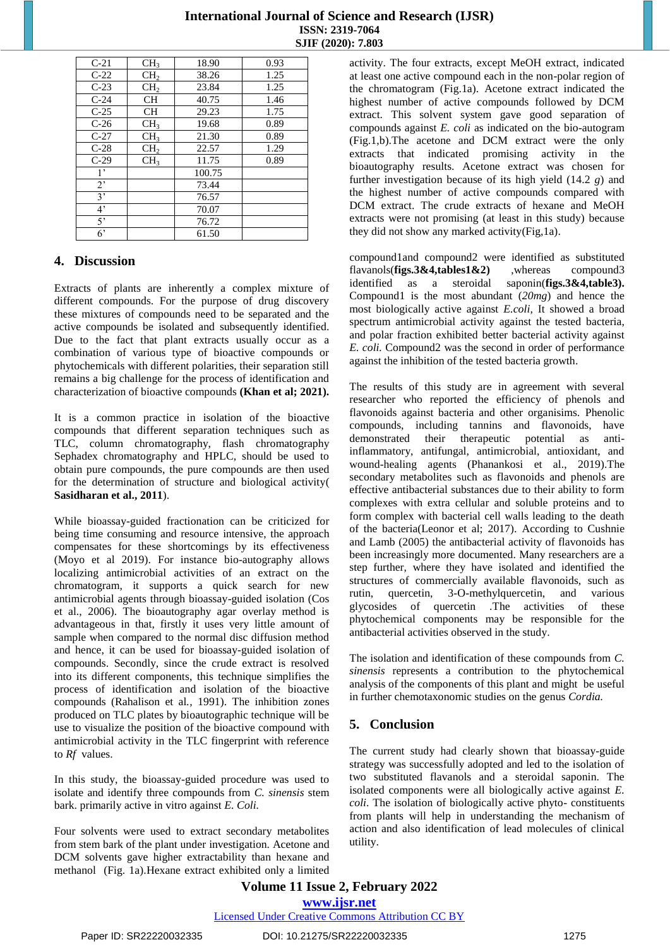| $C-21$         | CH <sub>3</sub> | 18.90  | 0.93 |
|----------------|-----------------|--------|------|
| $C-22$         | CH <sub>2</sub> | 38.26  | 1.25 |
| $C-23$         | CH <sub>2</sub> | 23.84  | 1.25 |
| $C-24$         | <b>CH</b>       | 40.75  | 1.46 |
| $C-25$         | <b>CH</b>       | 29.23  | 1.75 |
| $C-26$         | CH <sub>3</sub> | 19.68  | 0.89 |
| $C-27$         | CH <sub>3</sub> | 21.30  | 0.89 |
| $C-28$         | CH <sub>2</sub> | 22.57  | 1.29 |
| $C-29$         | CH <sub>3</sub> | 11.75  | 0.89 |
| $1^{\circ}$    |                 | 100.75 |      |
| 2 <sup>1</sup> |                 | 73.44  |      |
| 3'             |                 | 76.57  |      |
| 4 <sup>2</sup> |                 | 70.07  |      |
| 5'             |                 | 76.72  |      |
| 6'             |                 | 61.50  |      |

## **4. Discussion**

Extracts of plants are inherently a complex mixture of different compounds. For the purpose of drug discovery these mixtures of compounds need to be separated and the active compounds be isolated and subsequently identified. Due to the fact that plant extracts usually occur as a combination of various type of bioactive compounds or phytochemicals with different polarities, their separation still remains a big challenge for the process of identification and characterization of bioactive compounds **[\(Khan](https://www.tandfonline.com/author/Khan%2C+Kehkashan) et al; 2021).**

It is a common practice in isolation of the bioactive compounds that different separation techniques such as TLC, column chromatography, flash chromatography Sephadex chromatography and HPLC, should be used to obtain pure compounds, the pure compounds are then used for the determination of structure and biological activity( **Sasidharan et al., 2011**).

While bioassay-guided fractionation can be criticized for being time consuming and resource intensive, the approach compensates for these shortcomings by its effectiveness (Moyo et al 2019). For instance bio-autography allows localizing antimicrobial activities of an extract on the chromatogram, it supports a quick search for new antimicrobial agents through bioassay-guided isolation (Cos et al., 2006). The bioautography agar overlay method is advantageous in that, firstly it uses very little amount of sample when compared to the normal disc diffusion method and hence, it can be used for bioassay-guided isolation of compounds. Secondly, since the crude extract is resolved into its different components, this technique simplifies the process of identification and isolation of the bioactive compounds (Rahalison et al*.,* 1991). The inhibition zones produced on TLC plates by bioautographic technique will be use to visualize the position of the bioactive compound with antimicrobial activity in the TLC fingerprint with reference to *Rf* values.

In this study, the bioassay-guided procedure was used to isolate and identify three compounds from *C. sinensis* stem bark. primarily active in vitro against *E. Coli.*

Four solvents were used to extract secondary metabolites from stem bark of the plant under investigation. Acetone and DCM solvents gave higher extractability than hexane and methanol (Fig. 1a).Hexane extract exhibited only a limited activity. The four extracts, except MeOH extract, indicated at least one active compound each in the non-polar region of the chromatogram (Fig.1a). Acetone extract indicated the highest number of active compounds followed by DCM extract. This solvent system gave good separation of compounds against *E. coli* as indicated on the bio-autogram (Fig.1,b).The acetone and DCM extract were the only extracts that indicated promising activity in the bioautography results. Acetone extract was chosen for further investigation because of its high yield (14.2 *g*) and the highest number of active compounds compared with DCM extract. The crude extracts of hexane and MeOH extracts were not promising (at least in this study) because they did not show any marked activity(Fig,1a).

compound1and compound2 were identified as substituted flavanols(**figs.3&4,tables1&2)** ,whereas compound3 identified as a steroidal saponin(**figs.3&4,table3).** Compound1 is the most abundant (*20mg*) and hence the most biologically active against *E.coli,* It showed a broad spectrum antimicrobial activity against the tested bacteria, and polar fraction exhibited better bacterial activity against *E. coli.* Compound2 was the second in order of performance against the inhibition of the tested bacteria growth.

The results of this study are in agreement with several researcher who reported the efficiency of phenols and flavonoids against bacteria and other organisims. Phenolic compounds, including tannins and flavonoids, have demonstrated their therapeutic potential as antiinflammatory, antifungal, antimicrobial, antioxidant, and wound-healing agents (Phanankosi et al., 2019).The secondary metabolites such as flavonoids and phenols are effective antibacterial substances due to their ability to form complexes with extra cellular and soluble proteins and to form complex with bacterial cell walls leading to the death of the bacteria(Leonor et al; 2017). According to Cushnie and Lamb (2005) the antibacterial activity of flavonoids has been increasingly more documented. Many researchers are a step further, where they have isolated and identified the structures of commercially available flavonoids, such as rutin, quercetin, 3-O-methylquercetin, and various glycosides of quercetin .The activities of these phytochemical components may be responsible for the antibacterial activities observed in the study.

The isolation and identification of these compounds from *C. sinensis* represents a contribution to the phytochemical analysis of the components of this plant and might be useful in further chemotaxonomic studies on the genus *Cordia.*

## **5. Conclusion**

The current study had clearly shown that bioassay-guide strategy was successfully adopted and led to the isolation of two substituted flavanols and a steroidal saponin. The isolated components were all biologically active against *E. coli*. The isolation of biologically active phyto- constituents from plants will help in understanding the mechanism of action and also identification of lead molecules of clinical utility.

**Volume 11 Issue 2, February 2022 www.ijsr.net**

## Licensed Under Creative Commons Attribution CC BY